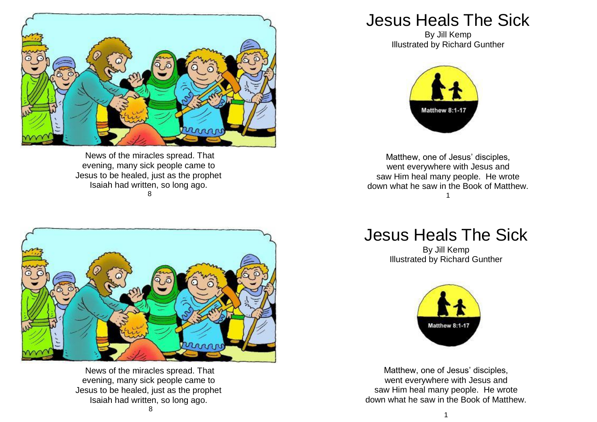

News of the miracles spread. That evening, many sick people came to Jesus to be healed, just as the prophet Isaiah had written, so long ago. 8



News of the miracles spread. That evening, many sick people came to Jesus to be healed, just as the prophet Isaiah had written, so long ago.

## Jesus Heals The Sick

By Jill Kemp Illustrated by Richard Gunther



Matthew, one of Jesus' disciples, went everywhere with Jesus and saw Him heal many people. He wrote down what he saw in the Book of Matthew. 1

Jesus Heals The Sick

By Jill Kemp Illustrated by Richard Gunther



Matthew, one of Jesus' disciples, went everywhere with Jesus and saw Him heal many people. He wrote down what he saw in the Book of Matthew.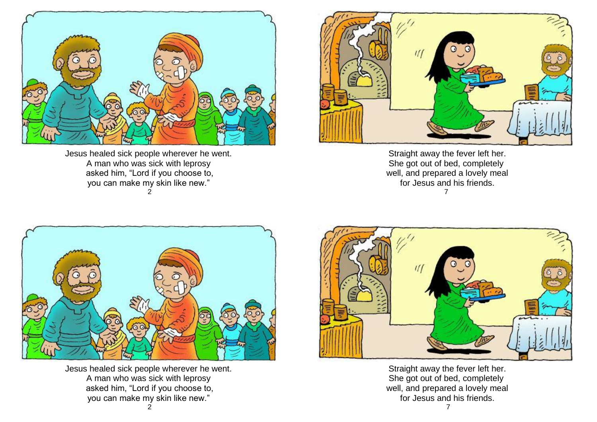

Jesus healed sick people wherever he went. A man who was sick with leprosy asked him, "Lord if you choose to, you can make my skin like new." 2



Straight away the fever left her. She got out of bed, completely well, and prepared a lovely meal for Jesus and his friends. 7



Jesus healed sick people wherever he went. A man who was sick with leprosy asked him, "Lord if you choose to, you can make my skin like new."



Straight away the fever left her. She got out of bed, completely well, and prepared a lovely meal for Jesus and his friends.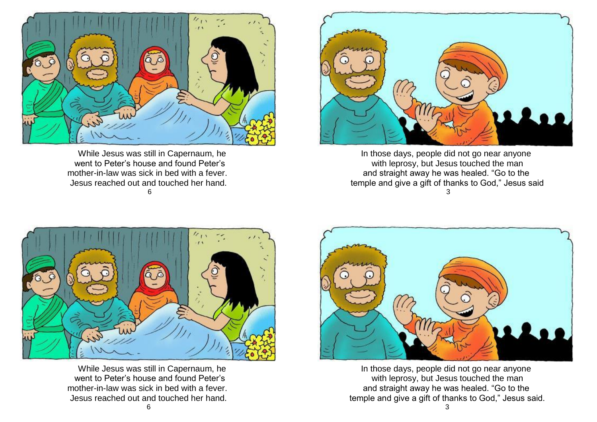

 While Jesus was still in Capernaum, he went to Peter's house and found Peter's mother-in-law was sick in bed with a fever. Jesus reached out and touched her hand. 6



In those days, people did not go near anyone with leprosy, but Jesus touched the man and straight away he was healed. "Go to the temple and give a gift of thanks to God," Jesus said 3



 While Jesus was still in Capernaum, he went to Peter's house and found Peter's mother-in-law was sick in bed with a fever. Jesus reached out and touched her hand.



In those days, people did not go near anyone with leprosy, but Jesus touched the man and straight away he was healed. "Go to the temple and give a gift of thanks to God," Jesus said.